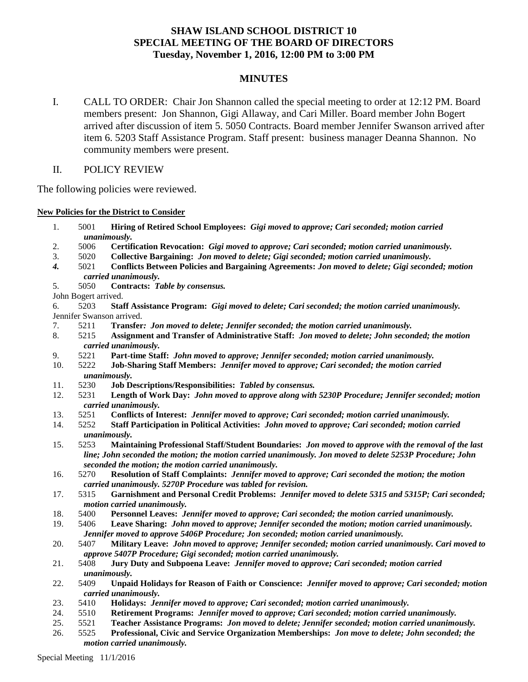# **SHAW ISLAND SCHOOL DISTRICT 10 SPECIAL MEETING OF THE BOARD OF DIRECTORS Tuesday, November 1, 2016, 12:00 PM to 3:00 PM**

## **MINUTES**

I. CALL TO ORDER: Chair Jon Shannon called the special meeting to order at 12:12 PM. Board members present: Jon Shannon, Gigi Allaway, and Cari Miller. Board member John Bogert arrived after discussion of item 5. 5050 Contracts. Board member Jennifer Swanson arrived after item 6. 5203 Staff Assistance Program. Staff present: business manager Deanna Shannon. No community members were present.

## II. POLICY REVIEW

The following policies were reviewed.

**New Policies for the District to Consider**

- 1. 5001 **Hiring of Retired School Employees:** *Gigi moved to approve; Cari seconded; motion carried unanimously.*
- 2. 5006 **Certification Revocation:** *Gigi moved to approve; Cari seconded; motion carried unanimously.*
- 3. 5020 **Collective Bargaining:** *Jon moved to delete; Gigi seconded; motion carried unanimously.*
- *4.* 5021 **Conflicts Between Policies and Bargaining Agreements:** *Jon moved to delete; Gigi seconded; motion carried unanimously.*
- 5. 5050 **Contracts:** *Table by consensus.*
- John Bogert arrived.
- 6. 5203 **Staff Assistance Program:** *Gigi moved to delete; Cari seconded; the motion carried unanimously.* Jennifer Swanson arrived.
- 7. 5211 **Transfer***: Jon moved to delete; Jennifer seconded; the motion carried unanimously.*
- 8. 5215 **Assignment and Transfer of Administrative Staff:** *Jon moved to delete; John seconded; the motion carried unanimously.*
- 9. 5221 **Part-time Staff:** *John moved to approve; Jennifer seconded; motion carried unanimously.*
- 10. 5222 **Job-Sharing Staff Members:** *Jennifer moved to approve; Cari seconded; the motion carried unanimously.*
- 11. 5230 **Job Descriptions/Responsibilities:** *Tabled by consensus.*
- 12. 5231 **Length of Work Day:** *John moved to approve along with 5230P Procedure; Jennifer seconded; motion carried unanimously.*
- 13. 5251 **Conflicts of Interest:** *Jennifer moved to approve; Cari seconded; motion carried unanimously.*
- 14. 5252 **Staff Participation in Political Activities:** *John moved to approve; Cari seconded; motion carried unanimously.*
- 15. 5253 **Maintaining Professional Staff/Student Boundaries:** *Jon moved to approve with the removal of the last line; John seconded the motion; the motion carried unanimously. Jon moved to delete 5253P Procedure; John seconded the motion; the motion carried unanimously.*
- 16. 5270 **Resolution of Staff Complaints:** *Jennifer moved to approve; Cari seconded the motion; the motion carried unanimously. 5270P Procedure was tabled for revision.*
- 17. 5315 **Garnishment and Personal Credit Problems:** *Jennifer moved to delete 5315 and 5315P; Cari seconded; motion carried unanimously.*
- 18. 5400 **Personnel Leaves:** *Jennifer moved to approve; Cari seconded; the motion carried unanimously.*
- 19. 5406 **Leave Sharing:** *John moved to approve; Jennifer seconded the motion; motion carried unanimously. Jennifer moved to approve 5406P Procedure; Jon seconded; motion carried unanimously.*
- 20. 5407 **Military Leave:** *John moved to approve; Jennifer seconded; motion carried unanimously. Cari moved to approve 5407P Procedure; Gigi seconded; motion carried unanimously.*
- 21. 5408 **Jury Duty and Subpoena Leave:** *Jennifer moved to approve; Cari seconded; motion carried unanimously.*
- 22. 5409 **Unpaid Holidays for Reason of Faith or Conscience:** *Jennifer moved to approve; Cari seconded; motion carried unanimously.*
- 23. 5410 **Holidays:** *Jennifer moved to approve; Cari seconded; motion carried unanimously.*
- 24. 5510 **Retirement Programs:** *Jennifer moved to approve; Cari seconded; motion carried unanimously.*
- 25. 5521 **Teacher Assistance Programs:** *Jon moved to delete; Jennifer seconded; motion carried unanimously.*
- 26. 5525 **Professional, Civic and Service Organization Memberships:** *Jon move to delete; John seconded; the motion carried unanimously.*